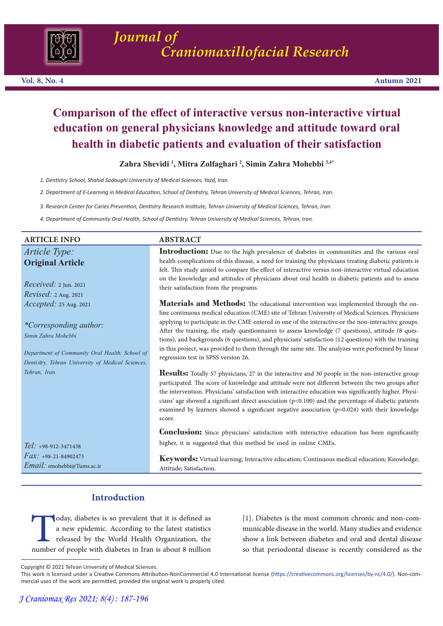

# **Comparison of the effect of interactive versus non-interactive virtual education on general physicians knowledge and attitude toward oral health in diabetic patients and evaluation of their satisfaction**

**Zahra Shevidi <sup>1</sup> , Mitra Zolfaghari <sup>2</sup> , Simin Zahra Mohebbi 3,4\***

*1. Dentistry School, Shahid Sadoughi University of Medical Sciences, Yazd, Iran.*

*2. Department of E-Learning in Medical Education, School of Dentistry, Tehran University of Medical Sciences, Tehran, Iran.*

*3. Research Center for Caries Prevention, Dentistry Research Institute, Tehran University of Medical Sciences, Tehran, Iran.* 

*4. Department of Community Oral Health, School of Dentistry, Tehran University of Medical Sciences, Tehran, Iran.*

| <b>ARTICLE INFO</b>                                                                                                                                                                   | <b>ABSTRACT</b>                                                                                                                                                                                                                                                                                                                                                                                                                                                                                                                                                                                                                                                  |
|---------------------------------------------------------------------------------------------------------------------------------------------------------------------------------------|------------------------------------------------------------------------------------------------------------------------------------------------------------------------------------------------------------------------------------------------------------------------------------------------------------------------------------------------------------------------------------------------------------------------------------------------------------------------------------------------------------------------------------------------------------------------------------------------------------------------------------------------------------------|
| Article Type:<br><b>Original Article</b>                                                                                                                                              | <b>Introduction:</b> Due to the high prevalence of diabetes in communities and the various oral<br>health complications of this disease, a need for training the physicians treating diabetic patients is<br>felt. This study aimed to compare the effect of interactive versus non-interactive virtual education                                                                                                                                                                                                                                                                                                                                                |
| $Received: 2$ Jun. 2021<br><i>Revised: 2 Aug. 2021</i>                                                                                                                                | on the knowledge and attitudes of physicians about oral health in diabetic patients and to assess<br>their satisfaction from the programs.                                                                                                                                                                                                                                                                                                                                                                                                                                                                                                                       |
| Accepted: 25 Aug. 2021<br><i>*Corresponding author:</i><br>Simin Zahra Mohebbi<br>Department of Community Oral Health, School of<br>Dentistry, Tehran University of Medical Sciences, | <b>Materials and Methods:</b> The educational intervention was implemented through the on-<br>line continuous medical education (CME) site of Tehran University of Medical Sciences. Physicians<br>applying to participate in the CME entered in one of the interactive or the non-interactive groups.<br>After the training, the study questionnaires to assess knowledge (7 questions), attitude (8 ques-<br>tions), and backgrounds (6 questions), and physicians' satisfaction (12 questions) with the training<br>in this project, was provided to them through the same site. The analyzes were performed by linear<br>regression test in SPSS version 26. |
| Tehran, Iran.                                                                                                                                                                         | <b>Results:</b> Totally 57 physicians, 27 in the interactive and 30 people in the non-interactive group<br>participated. The score of knowledge and attitude were not different between the two groups after<br>the intervention. Physicians' satisfaction with interactive education was significantly higher. Physi-<br>cians' age showed a significant direct association $(p<0.100)$ and the percentage of diabetic patients<br>examined by learners showed a significant negative association $(p=0.024)$ with their knowledge<br>score.                                                                                                                    |
| Tel: +98-912-3471438                                                                                                                                                                  | <b>Conclusion:</b> Since physicians' satisfaction with interactive education has been significantly<br>higher, it is suggested that this method be used in online CMEs.                                                                                                                                                                                                                                                                                                                                                                                                                                                                                          |
| $Fax: +98-21-84902473$                                                                                                                                                                | <b>Keywords:</b> Virtual learning: Interactive education: Continuous medical education: Knowledge:                                                                                                                                                                                                                                                                                                                                                                                                                                                                                                                                                               |

**Keywords:** Virtual learning; Interactive education; Continuous medical education; Knowledge; Attitude; Satisfaction.

# **Introduction**

oday, diabetes is so prevalent that it is defined as<br>a new epidemic. According to the latest statistics<br>released by the World Health Organization, the<br>number of people with diabetes in Iran is about 8 million a new epidemic. According to the latest statistics released by the World Health Organization, the number of people with diabetes in Iran is about 8 million

[1]. Diabetes is the most common chronic and non-communicable disease in the world. Many studies and evidence show a link between diabetes and oral and dental disease so that periodontal disease is recently considered as the

*Email:* smohebbi@Tums.ac.ir

Copyright © 2021 Tehran University of Medical Sciences.

This work is licensed under a Creative Commons Attribution-NonCommercial 4.0 International license (https://creativecommons.org/licenses/by-nc/4.0/). Non-commercial uses of the work are permitted, provided the original work is properly cited.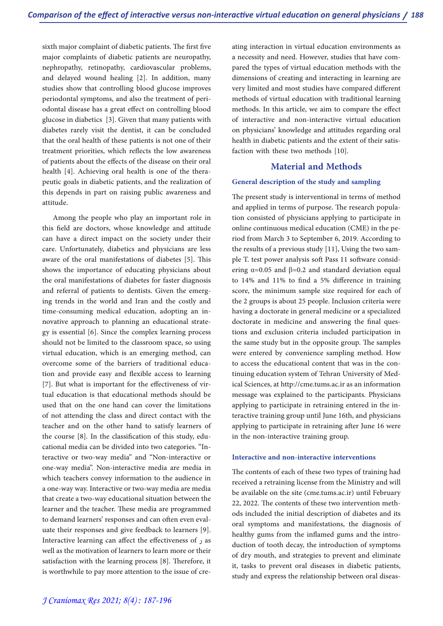sixth major complaint of diabetic patients. The first five major complaints of diabetic patients are neuropathy, nephropathy, retinopathy, cardiovascular problems, and delayed wound healing [2]. In addition, many studies show that controlling blood glucose improves<br>periodontal symptoms, and also the treatment of periodontal disease has a great effect on controlling blood glucose in diabetics [3]. Given that many patients with diabetes rarely visit the dentist, it can be concluded that the oral health of these patients is not one of their treatment priorities, which reflects the low awareness of patients about the effects of the disease on their oral health [4]. Achieving oral health is one of the thera-<br>peutic goals in diabetic patients, and the realization of this depends in part on raising public awareness and attitude.

Among the people who play an important role in this field are doctors, whose knowledge and attitude can have a direct impact on the society under their care. Unfortunately, diabetics and physicians are less aware of the oral manifestations of diabetes [5]. This shows the importance of educating physicians about the oral manifestations of diabetes for faster diagnosis<br>and referral of patients to dentists. Given the emerging trends in the world and Iran and the costly and time-consuming medical education, adopting an in-<br>novative approach to planning an educational strate-<br>gy is essential [6]. Since the complex learning process should not be limited to the classroom space, so using virtual education, which is an emerging method, can overcome some of the barriers of traditional education and provide easy and flexible access to learning [7]. But what is important for the effectiveness of virtual education is that educational methods should be used that on the one hand can cover the limitations of not attending the class and direct contact with the teacher and on the other hand to satisfy learners of the course [8]. In the classification of this study, educational media can be divided into two categories. "Interactive or two-way media" and "Non-interactive or one-way media". Non-interactive media are media in which teachers convey information to the audience in a one-way way. Interactive or two-way media are media that create a two-way educational situation between the learner and the teacher. These media are programmed uate their responses and give feedback to learners [9]. Interactive learning can affect the effectiveness of ر as well as the motivation of learners to learn more or their satisfaction with the learning process [8]. Therefore, it is worthwhile to pay more attention to the issue of creating interaction in virtual education environments as a necessity and need. However, studies that have com- pared the types of virtual education methods with the dimensions of creating and interacting in learning are very limited and most studies have compared different methods of virtual education with traditional learning methods. In this article, we aim to compare the effect of interactive and non-interactive virtual education on physicians' knowledge and attitudes regarding oral health in diabetic patients and the extent of their satis- faction with these two methods [10].

# **Material and Methods**

## **General description of the study and sampling**

The present study is interventional in terms of method and applied in terms of purpose. The research population consisted of physicians applying to participate in online continuous medical education (CME) in the period from March 3 to September 6, 2019. According to the results of a previous study [11], Using the two sample T. test power analysis soft Pass 11 software considering  $\alpha$ =0.05 and  $\beta$ =0.2 and standard deviation equal to 14% and 11% to find a 5% difference in training score, the minimum sample size required for each of the 2 groups is about 25 people. Inclusion criteria were having a doctorate in general medicine or a specialized doctorate in medicine and answering the final ques-<br>tions and exclusion criteria included participation in the same study but in the opposite group. The samples were entered by convenience sampling method. How to access the educational content that was in the continuing education system of Tehran University of Medical Sciences, at http://cme.tums.ac.ir as an information message was explained to the participants. Physicians applying to participate in retraining entered in the interactive training group until June 16th, and physicians applying to participate in retraining after June 16 were in the non-interactive training group.

### **Interactive and non-interactive interventions**

The contents of each of these two types of training had received a retraining license from the Ministry and will be available on the site (cme.tums.ac.ir) until February 22, 2022. The contents of these two intervention methods included the initial description of diabetes and its oral symptoms and manifestations, the diagnosis of healthy gums from the inflamed gums and the introduction of tooth decay, the introduction of symptoms of dry mouth, and strategies to prevent and eliminate it, tasks to prevent oral diseases in diabetic patients, study and express the relationship between oral diseas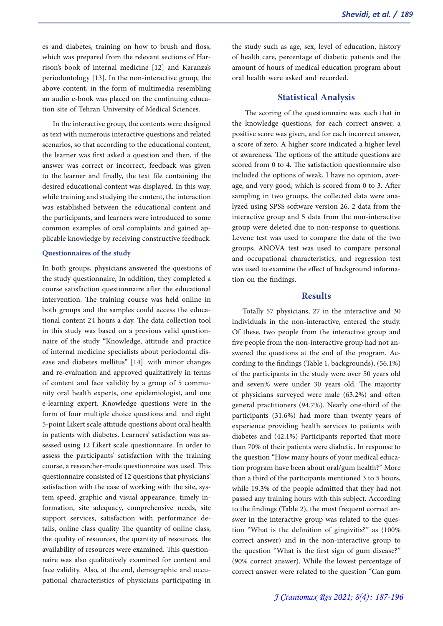es and diabetes, training on how to brush and floss, which was prepared from the relevant sections of Har-<br>rison's book of internal medicine [12] and Karanza's periodontology [13]. In the non-interactive group, the above content, in the form of multimedia resembling an audio e-book was placed on the continuing educa-<br>tion site of Tehran University of Medical Sciences.

In the interactive group, the contents were designed as text with numerous interactive questions and related scenarios, so that according to the educational content, the learner was first asked a question and then, if the answer was correct or incorrect, feedback was given to the learner and finally, the text file containing the desired educational content was displayed. In this way, while training and studying the content, the interaction was established between the educational content and the participants, and learners were introduced to some common examples of oral complaints and gained applicable knowledge by receiving constructive feedback.

#### **Questionnaires of the study**

In both groups, physicians answered the questions of the study questionnaire, In addition, they completed a course satisfaction questionnaire after the educational intervention. The training course was held online in both groups and the samples could access the educational content 24 hours a day. The data collection tool in this study was based on a previous valid questionnaire of the study "Knowledge, attitude and practice of internal medicine specialists about periodontal disease and diabetes mellitus" [14]. with minor changes and re-evaluation and approved qualitatively in terms of content and face validity by a group of 5 community oral health experts, one epidemiologist, and one e-learning expert. Knowledge questions were in the form of four multiple choice questions and and eight 5-point Likert scale attitude questions about oral health in patients with diabetes. Learners' satisfaction was as- sessed using 12 Likert scale questionnaire. In order to assess the participants' satisfaction with the training course, a researcher-made questionnaire was used. This questionnaire consisted of 12 questions that physicians' satisfaction with the ease of working with the site, system speed, graphic and visual appearance, timely information, site adequacy, comprehensive needs, site support services, satisfaction with performance details, online class quality The quantity of online class, the quality of resources, the quantity of resources, the availability of resources were examined. This questionnaire was also qualitatively examined for content and face validity. Also, at the end, demographic and occu- pational characteristics of physicians participating in

the study such as age, sex, level of education, history of health care, percentage of diabetic patients and the amount of hours of medical education program about oral health were asked and recorded.

### **Statistical Analysis**

The scoring of the questionnaire was such that in the knowledge questions, for each correct answer, a positive score was given, and for each incorrect answer, a score of zero. A higher score indicated a higher level of awareness. The options of the attitude questions are scored from 0 to 4. The satisfaction questionnaire also included the options of weak, I have no opinion, average, and very good, which is scored from 0 to 3. After sampling in two groups, the collected data were analyzed using SPSS software version 26. 2 data from the interactive group and 5 data from the non-interactive group were deleted due to non-response to questions. Levene test was used to compare the data of the two groups, ANOVA test was used to compare personal and occupational characteristics, and regression test was used to examine the effect of background information on the findings.

#### **Results**

Totally 57 physicians, 27 in the interactive and 30 individuals in the non-interactive, entered the study. Of these, two people from the interactive group and five people from the non-interactive group had not answered the questions at the end of the program. According to the findings (Table 1, backgrounds), (56.1%) of the participants in the study were over 50 years old and seven% were under 30 years old. The majority of physicians surveyed were male (63.2%) and often general practitioners (94.7%). Nearly one-third of the participants (31.6%) had more than twenty years of experience providing health services to patients with diabetes and (42.1%) Participants reported that more than 70% of their patients were diabetic. In response to the question "How many hours of your medical educa- tion program have been about oral/gum health?" More than a third of the participants mentioned 3 to 5 hours, while 19.3% of the people admitted that they had not passed any training hours with this subject. According<br>to the findings (Table 2), the most frequent correct answer in the interactive group was related to the ques-<br>tion "What is the definition of gingivitis?" as (100%) correct answer) and in the non-interactive group to the question "What is the first sign of gum disease?" (90% correct answer). While the lowest percentage of correct answer were related to the question "Can gum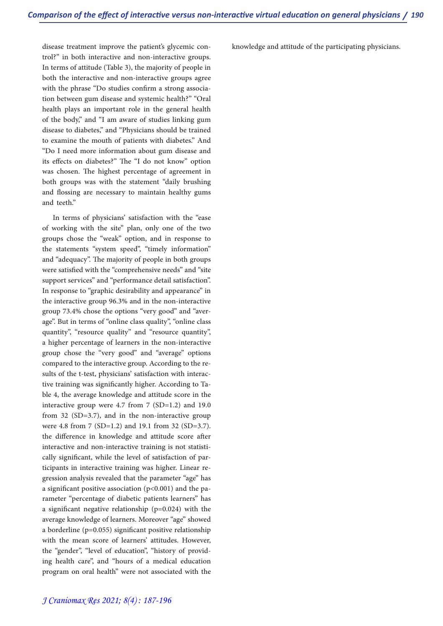disease treatment improve the patient's glycemic con- trol?" in both interactive and non-interactive groups. In terms of attitude (Table 3), the majority of people in both the interactive and non-interactive groups agree with the phrase "Do studies confirm a strong associa-<br>tion between gum disease and systemic health?" "Oral health plays an important role in the general health of the body," and "I am aware of studies linking gum disease to diabetes," and "Physicians should be trained to examine the mouth of patients with diabetes." And "Do I need more information about gum disease and its effects on diabetes?" The "I do not know" option was chosen. The highest percentage of agreement in both groups was with the statement "daily brushing and flossing are necessary to maintain healthy gums and teeth."

In terms of physicians' satisfaction with the "ease of working with the site" plan, only one of the two groups chose the "weak" option, and in response to the statements "system speed", "timely information" and "adequacy". The majority of people in both groups were satisfied with the "comprehensive needs" and "site support services" and "performance detail satisfaction". In response to "graphic desirability and appearance" in the interactive group 96.3% and in the non-interactive group 73.4% chose the options "very good" and "aver- age". But in terms of "online class quality", "online class quantity", "resource quality" and "resource quantity", a higher percentage of learners in the non-interactive group chose the "very good" and "average" options compared to the interactive group. According to the results of the t-test, physicians' satisfaction with interactive training was significantly higher. According to Table 4, the average knowledge and attitude score in the interactive group were 4.7 from 7 (SD=1.2) and 19.0 from 32 (SD=3.7), and in the non-interactive group were 4.8 from 7 (SD=1.2) and 19.1 from 32 (SD=3.7). the difference in knowledge and attitude score after interactive and non-interactive training is not statistically significant, while the level of satisfaction of participants in interactive training was higher. Linear regression analysis revealed that the parameter "age" has a significant positive association (p<0.001) and the parameter "percentage of diabetic patients learners" has a significant negative relationship (p=0.024) with the average knowledge of learners. Moreover "age" showed a borderline (p=0.055) significant positive relationship with the mean score of learners' attitudes. However, the "gender", "level of education", "history of providing health care", and "hours of a medical education program on oral health" were not associated with the knowledge and attitude of the participating physicians.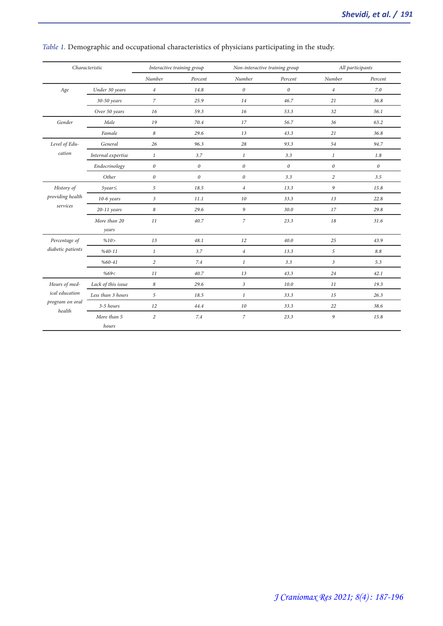| Characteristic            |                       | Interactive training group |                       | Non-interactive training group |                       | All participants      |                       |
|---------------------------|-----------------------|----------------------------|-----------------------|--------------------------------|-----------------------|-----------------------|-----------------------|
|                           |                       | Number                     | Percent               | Number                         | Percent               | Number                | Percent               |
| Age                       | Under 30 years        | $\overline{4}$             | 14.8                  | $\boldsymbol{0}$               | $\boldsymbol{\theta}$ | $\overline{4}$        | 7.0                   |
|                           | 30-50 years           | $\overline{z}$             | 25.9                  | 14                             | 46.7                  | 21                    | 36.8                  |
|                           | Over 50 years         | 16                         | 59.3                  | 16                             | 53.3                  | 32                    | 56.1                  |
| Gender                    | Male                  | 19                         | 70.4                  | 17                             | 56.7                  | 36                    | 63.2                  |
|                           | Famale                | 8                          | 29.6                  | 13                             | 43.3                  | 21                    | 36.8                  |
| Level of Edu-             | General               | 26                         | 96.3                  | 28                             | 93.3                  | 54                    | 94.7                  |
| cation                    | Internal expertise    | $\mathbf{1}$               | 3.7                   | 1                              | 3.3                   | $\mathbf{1}$          | 1.8                   |
|                           | Endocrinology         | $\boldsymbol{\theta}$      | $\boldsymbol{\theta}$ | $\boldsymbol{\theta}$          | $\theta$              | $\boldsymbol{\theta}$ | $\boldsymbol{\theta}$ |
|                           | Other                 | $\boldsymbol{\theta}$      | $\theta$              | $\boldsymbol{\theta}$          | 3.3                   | $\overline{c}$        | 3.5                   |
| History of                | $5 \gamma ear \leq$   | 5                          | 18.5                  | $\overline{4}$                 | 13.3                  | 9                     | 15.8                  |
| providing health          | $10-6$ years          | $\mathfrak{Z}$             | 11.1                  | 10                             | 33.3                  | 13                    | 22.8                  |
| services                  | $20-11$ years         | 8                          | 29.6                  | 9                              | 30.0                  | 17                    | 29.8                  |
|                           | More than 20<br>years | 11                         | 40.7                  | $\boldsymbol{7}$               | 23.3                  | 18                    | 31.6                  |
| Percentage of             | %10>                  | 13                         | 48.1                  | 12                             | 40.0                  | 25                    | 43.9                  |
| diabetic patients         | $%40-11$              | $\mathbf{1}$               | 3.7                   | $\overline{4}$                 | 13.3                  | 5                     | 8.8                   |
|                           | $%60-41$              | $\overline{c}$             | 7.4                   | $\mathbf{1}$                   | 3.3                   | 3                     | 5.3                   |
|                           | %69<                  | 11                         | 40.7                  | 13                             | 43.3                  | 24                    | 42.1                  |
| Hours of med-             | Lack of this issue    | 8                          | 29.6                  | $\mathfrak{Z}$                 | 10.0                  | 11                    | 19.3                  |
| ical education            | Less than 3 hours     | 5                          | 18.5                  | $\mathbf{1}$                   | 33.3                  | 15                    | 26.3                  |
| program on oral<br>health | 3-5 hours             | 12                         | 44.4                  | 10                             | 33.3                  | 22                    | 38.6                  |
|                           | More than 5<br>hours  | $\overline{c}$             | 7.4                   | $\boldsymbol{7}$               | 23.3                  | 9                     | 15.8                  |

# *Table 1.* Demographic and occupational characteristics of physicians participating in the study.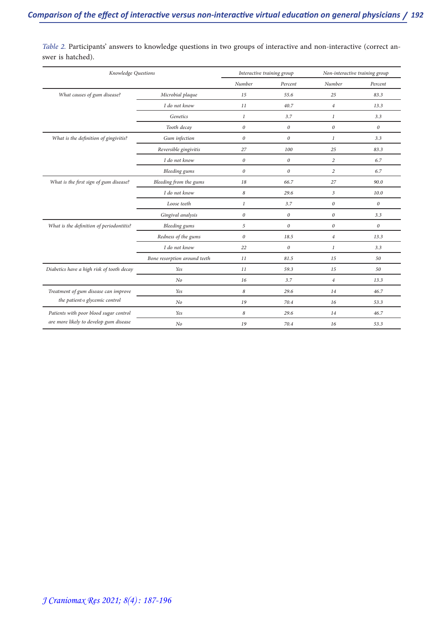| Knowledge Questions                       |                              | Interactive training group |                       | Non-interactive training group |         |
|-------------------------------------------|------------------------------|----------------------------|-----------------------|--------------------------------|---------|
|                                           |                              | Number                     | Percent               | Number                         | Percent |
| What causes of gum disease?               | Microbial plaque             | 15                         | 55.6                  | 25                             | 83.3    |
|                                           | I do not know                | 11                         | 40.7                  | $\overline{4}$                 | 13.3    |
|                                           | Genetics                     | $\mathbf{1}$               | 3.7                   | 1                              | 3.3     |
|                                           | Tooth decay                  | $\boldsymbol{0}$           | $\boldsymbol{\theta}$ | $\boldsymbol{\theta}$          | 0       |
| What is the definition of gingivitis?     | Gum infection                | $\boldsymbol{0}$           | $\boldsymbol{0}$      | $\mathbf{1}$                   | 3.3     |
|                                           | Reversible gingivitis        | 27                         | 100                   | 25                             | 83.3    |
|                                           | I do not know                | $\it{0}$                   | $\boldsymbol{0}$      | $\overline{c}$                 | 6.7     |
|                                           | <b>Bleeding</b> gums         | $\theta$                   | $\theta$              | $\overline{c}$                 | 6.7     |
| What is the first sign of gum disease?    | Bleeding from the gums       | 18                         | 66.7                  | 27                             | 90.0    |
|                                           | I do not know                | 8                          | 29.6                  | $\overline{3}$                 | 10.0    |
|                                           | Loose teeth                  | $\mathbf{1}$               | 3.7                   | 0                              | 0       |
|                                           | Gingival analysis            | $\boldsymbol{0}$           | $\boldsymbol{0}$      | $\theta$                       | 3.3     |
| What is the definition of periodontitis?  | <b>Bleeding</b> gums         | 5                          | $\boldsymbol{0}$      | 0                              | 0       |
|                                           | Redness of the gums          | $\it{0}$                   | 18.5                  | $\overline{4}$                 | 13.3    |
|                                           | I do not know                | 22                         | $\boldsymbol{\theta}$ | 1                              | 3.3     |
|                                           | Bone resorption around teeth | 11                         | 81.5                  | 15                             | 50      |
| Diabetics have a high risk of tooth decay | Yes                          | 11                         | 59.3                  | 15                             | 50      |
|                                           | N <sub>o</sub>               | 16                         | 3.7                   | $\overline{4}$                 | 13.3    |
| Treatment of gum disease can improve      | Yes                          | 8                          | 29.6                  | 14                             | 46.7    |
| the patients glycemic control             | N <sub>o</sub>               | 19                         | 70.4                  | 16                             | 53.3    |
| Patients with poor blood sugar control    | Yes                          | 8                          | 29.6                  | 14                             | 46.7    |
| are more likely to develop gum disease    | No                           | 19                         | 70.4                  | 16                             | 53.3    |

*Table 2. Participants'* answers to knowledge questions in two groups of interactive and non-interactive (correct an-<br>swer is hatched).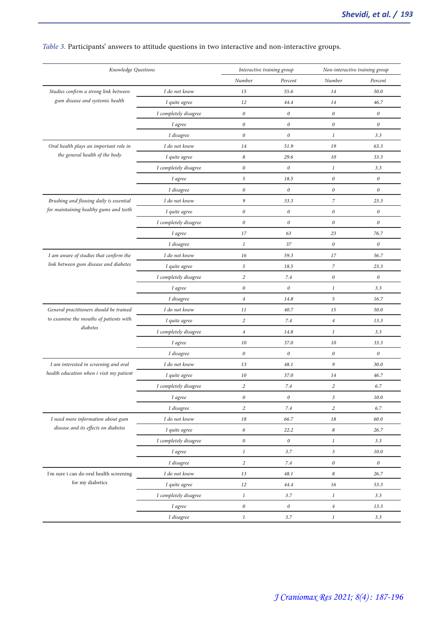| Knowledge Questions                                |                       | Interactive training group |                       | Non-interactive training group |          |
|----------------------------------------------------|-----------------------|----------------------------|-----------------------|--------------------------------|----------|
|                                                    |                       | Number                     | Percent               | Number                         | Percent  |
| Studies confirm a strong link between              | I do not know         | 15                         | 55.6                  | 14                             | 50.0     |
| gum disease and systemic health                    | I quite agree         | 12                         | 44.4                  | 14                             | 46.7     |
|                                                    | I completely disagree | $\boldsymbol{0}$           | $\boldsymbol{0}$      | $\boldsymbol{\theta}$          | $\theta$ |
|                                                    | I agree               | $\boldsymbol{\theta}$      | $\it{0}$              | $\boldsymbol{\mathit{0}}$      | $\theta$ |
|                                                    | I disagree            | $\theta$                   | $\boldsymbol{\theta}$ | $\boldsymbol{l}$               | 3.3      |
| Oral health plays an important role in             | I do not know         | 14                         | 51.9                  | 19                             | 63.3     |
| the general health of the body                     | I quite agree         | 8                          | 29.6                  | 10                             | 33.3     |
|                                                    | I completely disagree | $\boldsymbol{\mathit{0}}$  | $\it{0}$              | 1                              | 3.3      |
|                                                    | I agree               | 5                          | 18.5                  | $\boldsymbol{0}$               | 0        |
|                                                    | I disagree            | $\it{0}$                   | $\boldsymbol{\theta}$ | $\theta$                       | $\theta$ |
| Brushing and flossing daily is essential           | I do not know         | 9                          | 33.3                  | 7                              | 23.3     |
| for maintaining healthy gums and teeth             | I quite agree         | $\it{0}$                   | $\it{0}$              | $\theta$                       | 0        |
|                                                    | I completely disagree | $\it{0}$                   | $\it{0}$              | $\boldsymbol{0}$               | $\theta$ |
|                                                    | I agree               | 17                         | 63                    | 23                             | 76.7     |
|                                                    | I disagree            | 1                          | 37                    | $\boldsymbol{\mathit{0}}$      | 0        |
| I am aware of studies that confirm the             | I do not know         | 16                         | 59.3                  | 17                             | 56.7     |
| link between gum disease and diabetes              | I quite agree         | 5                          | 18.5                  | 7                              | 23.3     |
|                                                    | I completely disagree | $\overline{c}$             | 7.4                   | $\it{0}$                       | $\theta$ |
|                                                    | I agree               | $\it{0}$                   | $\boldsymbol{\theta}$ | 1                              | 3.3      |
|                                                    | I disagree            | $\overline{4}$             | 14.8                  | 5                              | 16.7     |
| General practitioners should be trained            | I do not know         | 11                         | 40.7                  | 15                             | 50.0     |
| to examine the mouths of patients with<br>diabetes | I quite agree         | $\overline{c}$             | 7.4                   | $\overline{4}$                 | 13.3     |
|                                                    | I completely disagree | $\overline{4}$             | 14.8                  | 1                              | 3.3      |
|                                                    | I agree               | 10                         | 37.0                  | 10                             | 33.3     |
|                                                    | I disagree            | $\boldsymbol{\theta}$      | $\it{0}$              | $\boldsymbol{\mathit{0}}$      | 0        |
| I am interested in screening and oral              | I do not know         | 13                         | 48.1                  | 9                              | 30.0     |
| health education when i visit my patient           | I quite agree         | 10                         | 37.0                  | 14                             | 46.7     |
|                                                    | I completely disagree | $\overline{2}$             | 7.4                   | $\overline{c}$                 | 6.7      |
|                                                    | I agree               | $\it{0}$                   | $\boldsymbol{0}$      | $\mathfrak{Z}$                 | 10.0     |
|                                                    | I disagree            | $\overline{c}$             | 7.4                   | $\overline{c}$                 | 6.7      |
| I need more information about gum                  | I do not know         | 18                         | 66.7                  | 18                             | 60.0     |
| disease and its effects on diabetes                | I quite agree         | 6                          | 22.2                  | 8                              | 26.7     |
|                                                    | I completely disagree | $\boldsymbol{\mathit{0}}$  | $\boldsymbol{0}$      | $\boldsymbol{1}$               | 3.3      |
|                                                    | I agree               | $\mathbf{1}$               | 3.7                   | $\mathfrak{Z}$                 | 10.0     |
|                                                    | I disagree            | $\overline{a}$             | 7.4                   | $\boldsymbol{\mathit{0}}$      | 0        |
| I'm sure i can do oral health screening            | I do not know         | 13                         | 48.1                  | 8                              | 26.7     |
| for my diabetics                                   | I quite agree         | 12                         | 44.4                  | 16                             | 53.3     |
|                                                    | I completely disagree | $\mathbf{1}$               | 3.7                   | $\mathbf{1}$                   | 3.3      |
|                                                    | I agree               | $\boldsymbol{\mathit{0}}$  | 0                     | $\overline{4}$                 | 13.3     |
|                                                    | $\cal I$ disagree     | $\mathbf{1}$               | 3.7                   | 1                              | 3.3      |
|                                                    |                       |                            |                       |                                |          |

# *Table 3.* Participants' answers to attitude questions in two interactive and non-interactive groups.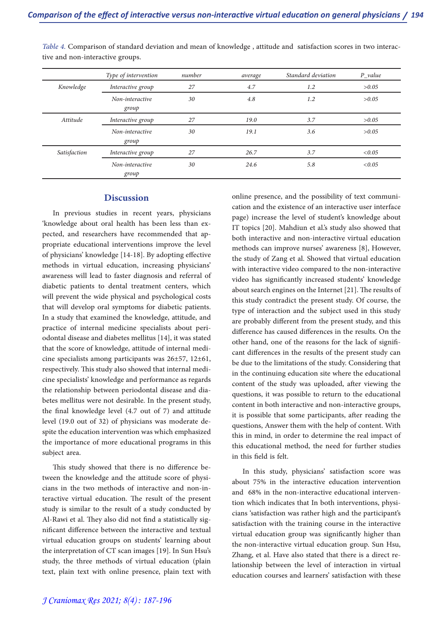|              | Type of intervention     | number | average | Standard deviation | $P_value$ |
|--------------|--------------------------|--------|---------|--------------------|-----------|
| Knowledge    | Interactive group        | 27     | 4.7     | 1.2                | >0.05     |
|              | Non-interactive<br>group | 30     | 4.8     | 1.2                | >0.05     |
| Attitude     | Interactive group        | 27     | 19.0    | 3.7                | >0.05     |
|              | Non-interactive<br>group | 30     | 19.1    | 3.6                | >0.05     |
| Satisfaction | Interactive group        | 27     | 26.7    | 3.7                | < 0.05    |
|              | Non-interactive<br>group | 30     | 24.6    | 5.8                | < 0.05    |

*Table 4.* Comparison of standard deviation and mean of knowledge , attitude and satisfaction scores in two interac- tive and non-interactive groups.

### **Discussion**

In previous studies in recent years, physicians 'knowledge about oral health has been less than expected, and researchers have recommended that appropriate educational interventions improve the level of physicians' knowledge [14-18]. By adopting effective methods in virtual education, increasing physicians' awareness will lead to faster diagnosis and referral of diabetic patients to dental treatment centers, which will prevent the wide physical and psychological costs that will develop oral symptoms for diabetic patients. In a study that examined the knowledge, attitude, and practice of internal medicine specialists about periodontal disease and diabetes mellitus [14], it was stated that the score of knowledge, attitude of internal medicine specialists among participants was 26±57, 12±61, respectively. This study also showed that internal medicine specialists' knowledge and performance as regards the relationship between periodontal disease and diabetes mellitus were not desirable. In the present study, the final knowledge level (4.7 out of 7) and attitude level (19.0 out of 32) of physicians was moderate despite the education intervention was which emphasized the importance of more educational programs in this subject area.

This study showed that there is no difference be-<br>tween the knowledge and the attitude score of physi-<br>cians in the two methods of interactive and non-in-<br>teractive virtual education. The result of the present study is similar to the result of a study conducted by Al-Rawi et al. They also did not find a statistically sig- nificant difference between the interactive and textual virtual education groups on students' learning about the interpretation of CT scan images [19]. In Sun Hsu's study, the three methods of virtual education (plain text, plain text with online presence, plain text with

online presence, and the possibility of text communi- cation and the existence of an interactive user interface page) increase the level of student's knowledge about IT topics [20]. Mahdiun et al.'s study also showed that both interactive and non-interactive virtual education methods can improve nurses' awareness [8], However, the study of Zang et al. Showed that virtual education with interactive video compared to the non-interactive video has significantly increased students' knowledge about search engines on the Internet [21]. The results of this study contradict the present study. Of course, the type of interaction and the subject used in this study are probably different from the present study, and this difference has caused differences in the results. On the other hand, one of the reasons for the lack of significant differences in the results of the present study can be due to the limitations of the study. Considering that in the continuing education site where the educational content of the study was uploaded, after viewing the questions, it was possible to return to the educational content in both interactive and non-interactive groups, it is possible that some participants, after reading the questions, Answer them with the help of content. With this in mind, in order to determine the real impact of this educational method, the need for further studies in this field is felt.

In this study, physicians' satisfaction score was about 75% in the interactive education intervention tion which indicates that In both interventions, physicians 'satisfaction was rather high and the participant's satisfaction with the training course in the interactive virtual education group was significantly higher than the non-interactive virtual education group. Sun Hsu, Zhang, et al. Have also stated that there is a direct relationship between the level of interaction in virtual education courses and learners' satisfaction with these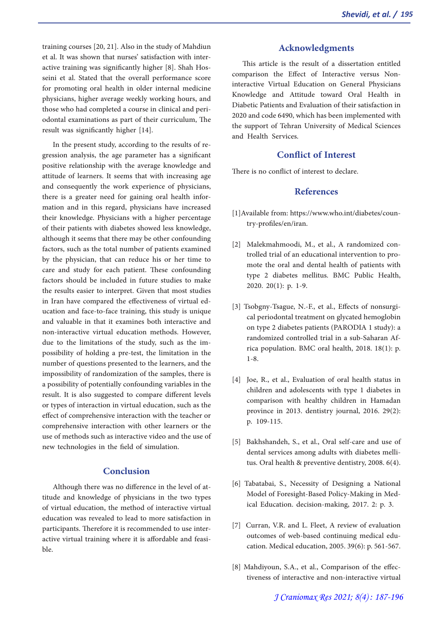training courses [20, 21]. Also in the study of Mahdiun et al. It was shown that nurses' satisfaction with inter-<br>active training was significantly higher [8]. Shah Hos-<br>seini et al. Stated that the overall performance score for promoting oral health in older internal medicine physicians, higher average weekly working hours, and those who had completed a course in clinical and peri- odontal examinations as part of their curriculum, The result was significantly higher [14].

In the present study, according to the results of regression analysis, the age parameter has a significant positive relationship with the average knowledge and attitude of learners. It seems that with increasing age and consequently the work experience of physicians, there is a greater need for gaining oral health information and in this regard, physicians have increased their knowledge. Physicians with a higher percentage of their patients with diabetes showed less knowledge, although it seems that there may be other confounding factors, such as the total number of patients examined by the physician, that can reduce his or her time to care and study for each patient. These confounding factors should be included in future studies to make the results easier to interpret. Given that most studies in Iran have compared the effectiveness of virtual education and face-to-face training, this study is unique and valuable in that it examines both interactive and non-interactive virtual education methods. However, due to the limitations of the study, such as the impossibility of holding a pre-test, the limitation in the number of questions presented to the learners, and the impossibility of randomization of the samples, there is a possibility of potentially confounding variables in the result. It is also suggested to compare different levels or types of interaction in virtual education, such as the effect of comprehensive interaction with the teacher or comprehensive interaction with other learners or the use of methods such as interactive video and the use of new technologies in the field of simulation.

# **Conclusion**

Although there was no difference in the level of at- titude and knowledge of physicians in the two types of virtual education, the method of interactive virtual education was revealed to lead to more satisfaction in participants. Therefore it is recommended to use interactive virtual training where it is affordable and feasible.

## **Acknowledgments**

This article is the result of a dissertation entitled comparison the Effect of Interactive versus Noninteractive Virtual Education on General Physicians Knowledge and Attitude toward Oral Health in Diabetic Patients and Evaluation of their satisfaction in 2020 and code 6490, which has been implemented with the support of Tehran University of Medical Sciences and Health Services.

# **Conflict of Interest**

There is no conflict of interest to declare.

# **References**

- [1]Available from: https://www.who.int/diabetes/coun- try-profiles/en/iran.
- [2] Malekmahmoodi, M., et al., A randomized con- trolled trial of an educational intervention to pro- mote the oral and dental health of patients with type 2 diabetes mellitus. BMC Public Health, 2020. 20(1): p. 1-9.
- [3] Tsobgny-Tsague, N.-F., et al., Effects of nonsurgical periodontal treatment on glycated hemoglobin on type 2 diabetes patients (PARODIA 1 study): a randomized controlled trial in a sub-Saharan Africa population. BMC oral health, 2018. 18(1): p. 1-8.
- [4] Joe, R., et al., Evaluation of oral health status in children and adolescents with type 1 diabetes in comparison with healthy children in Hamadan province in 2013. dentistry journal, 2016. 29(2): p. 109-115.
- [5] Bakhshandeh, S., et al., Oral self-care and use of dental services among adults with diabetes melli- tus. Oral health & preventive dentistry, 2008. 6(4).
- [6] Tabatabai, S., Necessity of Designing a National Model of Foresight-Based Policy-Making in Med- ical Education. decision-making, 2017. 2: p. 3.
- [7] Curran, V.R. and L. Fleet, A review of evaluation outcomes of web-based continuing medical edu-<br>cation. Medical education, 2005. 39(6): p. 561-567.
- [8] Mahdiyoun, S.A., et al., Comparison of the effec- tiveness of interactive and non-interactive virtual